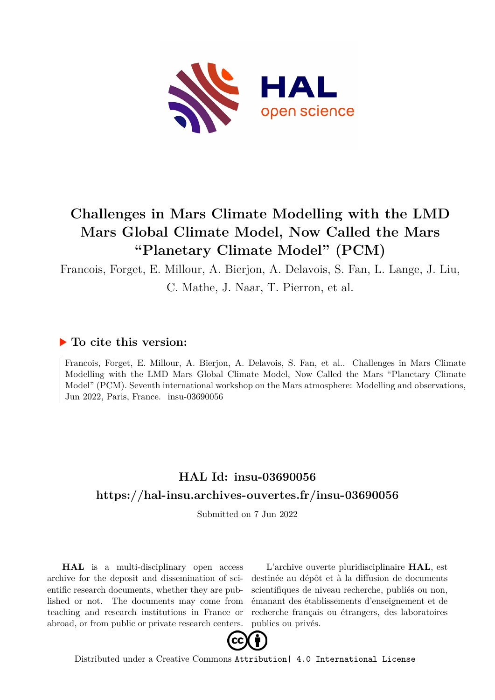

# **Challenges in Mars Climate Modelling with the LMD Mars Global Climate Model, Now Called the Mars "Planetary Climate Model" (PCM)**

Francois, Forget, E. Millour, A. Bierjon, A. Delavois, S. Fan, L. Lange, J. Liu,

C. Mathe, J. Naar, T. Pierron, et al.

## **To cite this version:**

Francois, Forget, E. Millour, A. Bierjon, A. Delavois, S. Fan, et al.. Challenges in Mars Climate Modelling with the LMD Mars Global Climate Model, Now Called the Mars "Planetary Climate Model" (PCM). Seventh international workshop on the Mars atmosphere: Modelling and observations, Jun 2022, Paris, France.  $insu-03690056$ 

## **HAL Id: insu-03690056 <https://hal-insu.archives-ouvertes.fr/insu-03690056>**

Submitted on 7 Jun 2022

**HAL** is a multi-disciplinary open access archive for the deposit and dissemination of scientific research documents, whether they are published or not. The documents may come from teaching and research institutions in France or abroad, or from public or private research centers.

L'archive ouverte pluridisciplinaire **HAL**, est destinée au dépôt et à la diffusion de documents scientifiques de niveau recherche, publiés ou non, émanant des établissements d'enseignement et de recherche français ou étrangers, des laboratoires publics ou privés.



Distributed under a Creative Commons [Attribution| 4.0 International License](http://creativecommons.org/licenses/by/4.0/)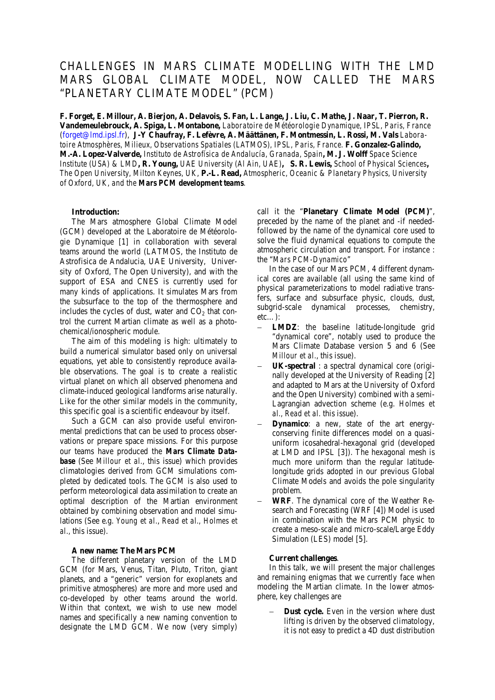### CHALLENGES IN MARS CLIMATE MODELLING WITH THE LMD MARS GLOBAL CLIMATE MODEL, NOW CALLED THE MARS "PLANETARY CLIMATE MODEL" (PCM)

**F. Forget, E. Millour, A. Bierjon, A. Delavois, S. Fan, L. Lange, J. Liu, C. Mathe, J. Naar, T. Pierron, R. Vandemeulebrouck, A. Spiga, L. Montabone,** *Laboratoire de Météorologie Dynamique, IPSL, Paris, France* (forget@lmd.ipsl.fr), **J-Y Chaufray, F. Lefèvre, A. Määttänen, F. Montmessin, L. Rossi, M. Vals** *Laboratoire Atmosphères, Milieux, Observations Spatiales (LATMOS), IPSL, Paris, France.* **F. Gonzalez-Galindo, M.-A. Lopez-Valverde,** *Instituto de Astrofísica de Andalucía, Granada, Spain***, M. J. Wolff** *Space Science Institute (USA) & LMD***, R. Young,** *UAE University (Al Ain, UAE)***, S. R. Lewis,** *School of Physical Sciences***,**  *The Open University, Milton Keynes, UK*, **P.-L. Read,** *Atmospheric, Oceanic & Planetary Physics, University of Oxford, UK, and the Mars PCM development teams.*

#### **Introduction:**

The Mars atmosphere Global Climate Model (GCM) developed at the Laboratoire de Météorologie Dynamique [1] in collaboration with several teams around the world (LATMOS, the Instituto de Astrofisica de Andalucia, UAE University, University of Oxford, The Open University), and with the support of ESA and CNES is currently used for many kinds of applications. It simulates Mars from the subsurface to the top of the thermosphere and includes the cycles of dust, water and  $CO<sub>2</sub>$  that control the current Martian climate as well as a photochemical/ionospheric module.

The aim of this modeling is high: ultimately to build a numerical simulator based only on universal equations, yet able to consistently reproduce available observations. The goal is to create a realistic virtual planet on which all observed phenomena and climate-induced geological landforms arise naturally. Like for the other similar models in the community, this specific goal is a scientific endeavour by itself.

Such a GCM can also provide useful environmental predictions that can be used to process observations or prepare space missions. For this purpose our teams have produced the *Mars Climate Database* (See *Millour et al.*, this issue) which provides climatologies derived from GCM simulations completed by dedicated tools. The GCM is also used to perform meteorological data assimilation to create an optimal description of the Martian environment obtained by combining observation and model simulations (See e.g. *Young et al.*, *Read et al., Holmes et al.,* this issue).

#### **A new name: The Mars PCM**

The different planetary version of the LMD GCM (for Mars, Venus, Titan, Pluto, Triton, giant planets, and a "generic" version for exoplanets and primitive atmospheres) are more and more used and co-developed by other teams around the world. Within that context, we wish to use new model names and specifically a new naming convention to designate the LMD GCM. We now (very simply)

call it the "**Planetary Climate Model (PCM)**", preceded by the name of the planet and -if neededfollowed by the name of the dynamical core used to solve the fluid dynamical equations to compute the atmospheric circulation and transport. For instance : the "*Mars PCM-Dynamico*"

In the case of our Mars PCM, 4 different dynamical cores are available (all using the same kind of physical parameterizations to model radiative transfers, surface and subsurface physic, clouds, dust, subgrid-scale dynamical processes, chemistry, etc…):

- **LMDZ**: the baseline latitude-longitude grid "dynamical core", notably used to produce the Mars Climate Database version 5 and 6 (See *Millour et al.*, this issue).
- − **UK-spectral** : a spectral dynamical core (originally developed at the University of Reading [2] and adapted to Mars at the University of Oxford and the Open University) combined with a semi-Lagrangian advection scheme (e.g. *Holmes et al., Read et al.* this issue).
- **Dynamico**: a new, state of the art energyconserving finite differences model on a quasiuniform icosahedral-hexagonal grid (developed at LMD and IPSL [3]). The hexagonal mesh is much more uniform than the regular latitudelongitude grids adopted in our previous Global Climate Models and avoids the pole singularity problem.
- − **WRF**. The dynamical core of the Weather Research and Forecasting (WRF [4]) Model is used in combination with the Mars PCM physic to create a meso-scale and micro-scale/Large Eddy Simulation (LES) model [5].

#### **Current challenges**.

In this talk, we will present the major challenges and remaining enigmas that we currently face when modeling the Martian climate. In the lower atmosphere, key challenges are

**Dust cycle.** Even in the version where dust lifting is driven by the observed climatology, it is not easy to predict a 4D dust distribution